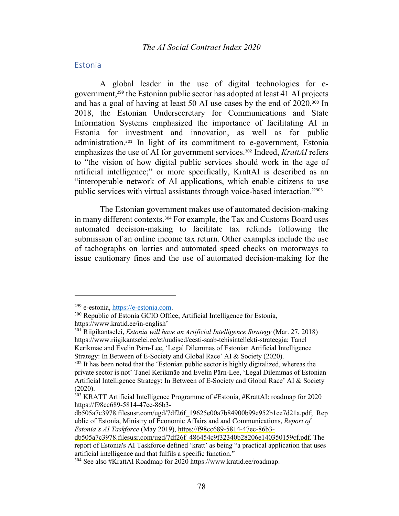### Estonia

A global leader in the use of digital technologies for egovernment, <sup>299</sup> the Estonian public sector has adopted at least 41 AI projects and has a goal of having at least 50 AI use cases by the end of 2020.<sup>300</sup> In 2018, the Estonian Undersecretary for Communications and State Information Systems emphasized the importance of facilitating AI in Estonia for investment and innovation, as well as for public administration. <sup>301</sup> In light of its commitment to e-government, Estonia emphasizes the use of AI for government services.<sup>302</sup> Indeed, *KrattAI* refers to "the vision of how digital public services should work in the age of artificial intelligence;" or more specifically, KrattAI is described as an "interoperable network of AI applications, which enable citizens to use public services with virtual assistants through voice-based interaction."<sup>303</sup>

The Estonian government makes use of automated decision-making in many different contexts.<sup>304</sup> For example, the Tax and Customs Board uses automated decision-making to facilitate tax refunds following the submission of an online income tax return. Other examples include the use of tachographs on lorries and automated speed checks on motorways to issue cautionary fines and the use of automated decision-making for the

<sup>&</sup>lt;sup>299</sup> e-estonia, <u>https://e-estonia.com</u>.<br><sup>300</sup> Republic of Estonia GCIO Office, Artificial Intelligence for Estonia, https://www.kratid.ee/in-english'

<sup>301</sup> Riigikantselei, *Estonia will have an Artificial Intelligence Strategy* (Mar. 27, 2018) https://www.riigikantselei.ee/et/uudised/eesti-saab-tehisintellekti-strateegia; Tanel Kerikmäe and Evelin Pärn-Lee, 'Legal Dilemmas of Estonian Artificial Intelligence Strategy: In Between of E-Society and Global Race' AI & Society (2020).

 $302$  It has been noted that the 'Estonian public sector is highly digitalized, whereas the private sector is not' Tanel Kerikmäe and Evelin Pärn-Lee, 'Legal Dilemmas of Estonian Artificial Intelligence Strategy: In Between of E-Society and Global Race' AI & Society (2020).

<sup>&</sup>lt;sup>303</sup> KRATT Artificial Intelligence Programme of #Estonia, #KrattAI: roadmap for 2020 https://f98cc689-5814-47ec-86b3-

db505a7c3978.filesusr.com/ugd/7df26f\_19625e00a7b84900b99e952b1ce7d21a.pdf; Rep ublic of Estonia, Ministry of Economic Affairs and and Communications, *Report of Estonia's AI Taskforce* (May 2019), https://f98cc689-5814-47ec-86b3-

db505a7c3978.filesusr.com/ugd/7df26f\_486454c9f32340b28206e140350159cf.pdf. The report of Estonia's AI Taskforce defined 'kratt' as being "a practical application that uses artificial intelligence and that fulfils a specific function."

<sup>304</sup> See also #KrattAI Roadmap for 2020 https://www.kratid.ee/roadmap.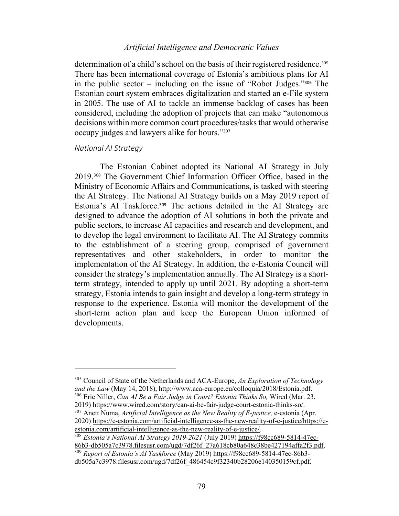determination of a child's school on the basis of their registered residence.<sup>305</sup> There has been international coverage of Estonia's ambitious plans for AI in the public sector – including on the issue of "Robot Judges."<sup>306</sup> The Estonian court system embraces digitalization and started an e-File system in 2005. The use of AI to tackle an immense backlog of cases has been considered, including the adoption of projects that can make "autonomous decisions within more common court procedures/tasks that would otherwise occupy judges and lawyers alike for hours."<sup>307</sup>

#### *National AI Strategy*

The Estonian Cabinet adopted its National AI Strategy in July 2019.<sup>308</sup> The Government Chief Information Officer Office, based in the Ministry of Economic Affairs and Communications, is tasked with steering the AI Strategy. The National AI Strategy builds on a May 2019 report of Estonia's AI Taskforce.<sup>309</sup> The actions detailed in the AI Strategy are designed to advance the adoption of AI solutions in both the private and public sectors, to increase AI capacities and research and development, and to develop the legal environment to facilitate AI. The AI Strategy commits to the establishment of a steering group, comprised of government representatives and other stakeholders, in order to monitor the implementation of the AI Strategy. In addition, the e-Estonia Council will consider the strategy's implementation annually. The AI Strategy is a shortterm strategy, intended to apply up until 2021. By adopting a short-term strategy, Estonia intends to gain insight and develop a long-term strategy in response to the experience. Estonia will monitor the development of the short-term action plan and keep the European Union informed of developments.

2019) https://www.wired.com/story/can-ai-be-fair-judge-court-estonia-thinks-so/. 307 Anett Numa, *Artificial Intelligence as the New Reality of E-justice,* e-estonia (Apr. 2020) https://e-estonia.com/artificial-intelligence-as-the-new-reality-of-e-justice/https://e-

<sup>305</sup> Council of State of the Netherlands and ACA-Europe, *An Exploration of Technology and the Law* (May 14, 2018), http://www.aca-europe.eu/colloquia/2018/Estonia.pdf. 306 Eric Niller, *Can AI Be a Fair Judge in Court? Estonia Thinks So,* Wired (Mar. 23,

estonia.com/artificial-intelligence-as-the-new-reality-of-e-justice/. 308 *Estonia's National AI Strategy 2019-2021* (July 2019) https://f98cc689-5814-47ec-86b3-db505a7c3978.filesusr.com/ugd/7df26f\_27a618cb80a648c38be427194affa2f3.pdf. <sup>309</sup> *Report of Estonia's AI Taskforce* (May 2019) https://f98cc689-5814-47ec-86b3 db505a7c3978.filesusr.com/ugd/7df26f\_486454c9f32340b28206e140350159cf.pdf.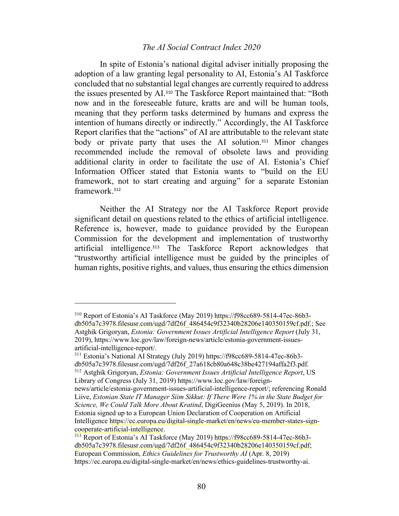### *The AI Social Contract Index 2020*

In spite of Estonia's national digital adviser initially proposing the adoption of a law granting legal personality to AI, Estonia's AI Taskforce concluded that no substantial legal changes are currently required to address the issues presented by AI.<sup>310</sup> The Taskforce Report maintained that: "Both now and in the foreseeable future, kratts are and will be human tools, meaning that they perform tasks determined by humans and express the intention of humans directly or indirectly." Accordingly, the AI Taskforce Report clarifies that the "actions" of AI are attributable to the relevant state body or private party that uses the AI solution.<sup>311</sup> Minor changes recommended include the removal of obsolete laws and providing additional clarity in order to facilitate the use of AI. Estonia's Chief Information Officer stated that Estonia wants to "build on the EU framework, not to start creating and arguing" for a separate Estonian framework.<sup>312</sup>

Neither the AI Strategy nor the AI Taskforce Report provide significant detail on questions related to the ethics of artificial intelligence. Reference is, however, made to guidance provided by the European Commission for the development and implementation of trustworthy artificial intelligence.<sup>313</sup> The Taskforce Report acknowledges that "trustworthy artificial intelligence must be guided by the principles of human rights, positive rights, and values, thus ensuring the ethics dimension

<sup>310</sup> Report of Estonia's AI Taskforce (May 2019) https://f98cc689-5814-47ec-86b3 db505a7c3978.filesusr.com/ugd/7df26f\_486454c9f32340b28206e140350159cf.pdf.; See Astghik Grigoryan, *Estonia: Government Issues Artificial Intelligence Report* (July 31, 2019), https://www.loc.gov/law/foreign-news/article/estonia-government-issuesartificial-intelligence-report/.<br><sup>311</sup> Estonia's National AI Strategy (July 2019) https://f98cc689-5814-47ec-86b3-

db505a7c3978.filesusr.com/ugd/7df26f\_27a618cb80a648c38be427194affa2f3.pdf. <sup>312</sup> Astghik Grigoryan, *Estonia: Government Issues Artificial Intelligence Report*, US Library of Congress (July 31, 2019) https://www.loc.gov/law/foreign-

news/article/estonia-government-issues-artificial-intelligence-report/; referencing Ronald Liive, *Estonian State IT Manager Siim Sikkut: If There Were 1% in the State Budget for Science, We Could Talk More About Kratind*, DigiGeenius (May 5, 2019). In 2018, Estonia signed up to a European Union Declaration of Cooperation on Artificial Intelligence https://ec.europa.eu/digital-single-market/en/news/eu-member-states-signcooperate-artificial-intelligence.<br><sup>313</sup> Report of Estonia's AI Taskforce (May 2019) https://f98cc689-5814-47ec-86b3-

db505a7c3978.filesusr.com/ugd/7df26f\_486454c9f32340b28206e140350159cf.pdf; European Commission, *Ethics Guidelines for Trustworthy AI* (Apr. 8, 2019) https://ec.europa.eu/digital-single-market/en/news/ethics-guidelines-trustworthy-ai.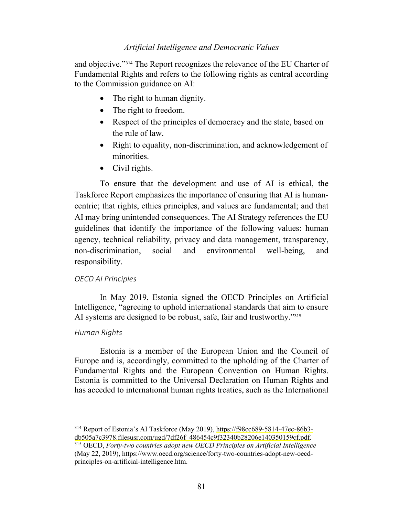and objective."<sup>314</sup> The Report recognizes the relevance of the EU Charter of Fundamental Rights and refers to the following rights as central according to the Commission guidance on AI:

- The right to human dignity.
- The right to freedom.
- Respect of the principles of democracy and the state, based on the rule of law.
- Right to equality, non-discrimination, and acknowledgement of minorities.
- Civil rights.

To ensure that the development and use of AI is ethical, the Taskforce Report emphasizes the importance of ensuring that AI is humancentric; that rights, ethics principles, and values are fundamental; and that AI may bring unintended consequences. The AI Strategy references the EU guidelines that identify the importance of the following values: human agency, technical reliability, privacy and data management, transparency, non-discrimination, social and environmental well-being, and responsibility.

# *OECD AI Principles*

In May 2019, Estonia signed the OECD Principles on Artificial Intelligence, "agreeing to uphold international standards that aim to ensure AI systems are designed to be robust, safe, fair and trustworthy."315

# *Human Rights*

Estonia is a member of the European Union and the Council of Europe and is, accordingly, committed to the upholding of the Charter of Fundamental Rights and the European Convention on Human Rights. Estonia is committed to the Universal Declaration on Human Rights and has acceded to international human rights treaties, such as the International

<sup>314</sup> Report of Estonia's AI Taskforce (May 2019), https://f98cc689-5814-47ec-86b3 db505a7c3978.filesusr.com/ugd/7df26f\_486454c9f32340b28206e140350159cf.pdf. <sup>315</sup> OECD, *Forty-two countries adopt new OECD Principles on Artificial Intelligence* (May 22, 2019), https://www.oecd.org/science/forty-two-countries-adopt-new-oecdprinciples-on-artificial-intelligence.htm.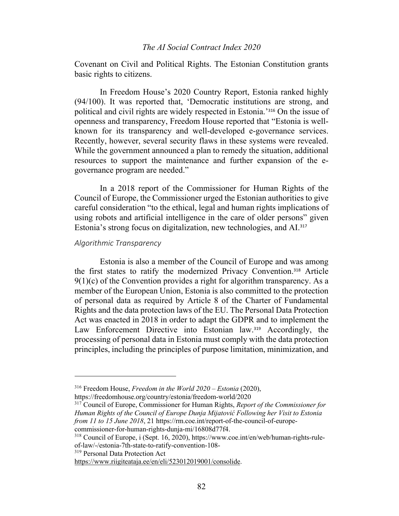### *The AI Social Contract Index 2020*

Covenant on Civil and Political Rights. The Estonian Constitution grants basic rights to citizens.

In Freedom House's 2020 Country Report, Estonia ranked highly (94/100). It was reported that, 'Democratic institutions are strong, and political and civil rights are widely respected in Estonia.'<sup>316</sup> On the issue of openness and transparency, Freedom House reported that "Estonia is wellknown for its transparency and well-developed e-governance services. Recently, however, several security flaws in these systems were revealed. While the government announced a plan to remedy the situation, additional resources to support the maintenance and further expansion of the egovernance program are needed."

In a 2018 report of the Commissioner for Human Rights of the Council of Europe, the Commissioner urged the Estonian authorities to give careful consideration "to the ethical, legal and human rights implications of using robots and artificial intelligence in the care of older persons" given Estonia's strong focus on digitalization, new technologies, and AI.<sup>317</sup>

#### *Algorithmic Transparency*

Estonia is also a member of the Council of Europe and was among the first states to ratify the modernized Privacy Convention.<sup>318</sup> Article  $9(1)(c)$  of the Convention provides a right for algorithm transparency. As a member of the European Union, Estonia is also committed to the protection of personal data as required by Article 8 of the Charter of Fundamental Rights and the data protection laws of the EU. The Personal Data Protection Act was enacted in 2018 in order to adapt the GDPR and to implement the Law Enforcement Directive into Estonian law.<sup>319</sup> Accordingly, the processing of personal data in Estonia must comply with the data protection principles, including the principles of purpose limitation, minimization, and

<sup>319</sup> Personal Data Protection Act

<sup>316</sup> Freedom House, *Freedom in the World 2020 – Estonia* (2020),

https://freedomhouse.org/country/estonia/freedom-world/2020

<sup>317</sup> Council of Europe, Commissioner for Human Rights, *Report of the Commissioner for Human Rights of the Council of Europe Dunja Mijatović Following her Visit to Estonia from 11 to 15 June 2018*, 21 https://rm.coe.int/report-of-the-council-of-europe-

commissioner-for-human-rights-dunja-mi/16808d77f4.<br><sup>318</sup> Council of Europe, i (Sept. 16, 2020), https://www.coe.int/en/web/human-rights-rule-

of-law/-/estonia-7th-state-to-ratify-convention-108-

https://www.riigiteataja.ee/en/eli/523012019001/consolide.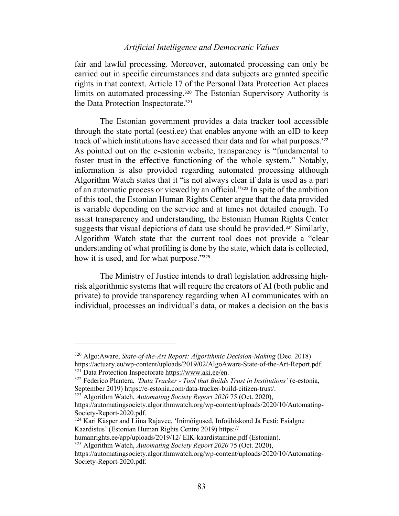fair and lawful processing. Moreover, automated processing can only be carried out in specific circumstances and data subjects are granted specific rights in that context. Article 17 of the Personal Data Protection Act places limits on automated processing.<sup>320</sup> The Estonian Supervisory Authority is the Data Protection Inspectorate.<sup>321</sup>

The Estonian government provides a data tracker tool accessible through the state portal (eesti.ee) that enables anyone with an eID to keep track of which institutions have accessed their data and for what purposes.<sup>322</sup> As pointed out on the e-estonia website, transparency is "fundamental to foster trust in the effective functioning of the whole system." Notably, information is also provided regarding automated processing although Algorithm Watch states that it "is not always clear if data is used as a part of an automatic process or viewed by an official."<sup>323</sup> In spite of the ambition of this tool, the Estonian Human Rights Center argue that the data provided is variable depending on the service and at times not detailed enough. To assist transparency and understanding, the Estonian Human Rights Center suggests that visual depictions of data use should be provided.<sup>324</sup> Similarly, Algorithm Watch state that the current tool does not provide a "clear understanding of what profiling is done by the state, which data is collected, how it is used, and for what purpose."<sup>325</sup>

The Ministry of Justice intends to draft legislation addressing highrisk algorithmic systems that will require the creators of AI (both public and private) to provide transparency regarding when AI communicates with an individual, processes an individual's data, or makes a decision on the basis

<sup>320</sup> Algo:Aware, *State-of-the-Art Report: Algorithmic Decision-Making* (Dec. 2018) https://actuary.eu/wp-content/uploads/2019/02/AlgoAware-State-of-the-Art-Report.pdf.<br><sup>321</sup> Data Protection Inspectorate https://www.aki.ee/en.<br><sup>322</sup> Federico Plantera, '*Data Tracker* - *Tool that Builds Trust in Instituti* 

September 2019) https://e-estonia.com/data-tracker-build-citizen-trust/. 323 Algorithm Watch, *Automating Society Report 2020* 75 (Oct. 2020),

https://automatingsociety.algorithmwatch.org/wp-content/uploads/2020/10/Automating-Society-Report-2020.pdf.<br><sup>324</sup> Kari Käsper and Liina Rajavee, 'Inimõigused, Infoühiskond Ja Eesti: Esialgne

Kaardistus' (Estonian Human Rights Centre 2019) https://

humanrights.ee/app/uploads/2019/12/ EIK-kaardistamine.pdf (Estonian).

<sup>325</sup> Algorithm Watch, *Automating Society Report 2020* 75 (Oct. 2020),

https://automatingsociety.algorithmwatch.org/wp-content/uploads/2020/10/Automating-Society-Report-2020.pdf.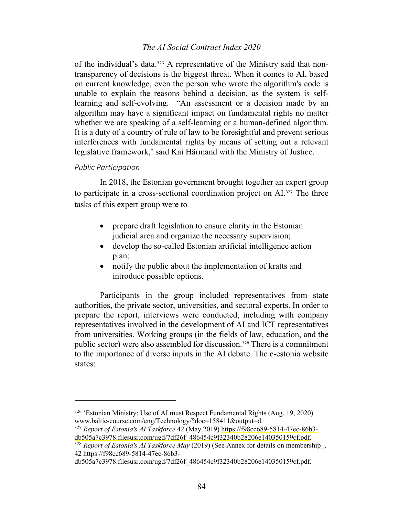# *The AI Social Contract Index 2020*

of the individual's data.<sup>326</sup> A representative of the Ministry said that nontransparency of decisions is the biggest threat. When it comes to AI, based on current knowledge, even the person who wrote the algorithm's code is unable to explain the reasons behind a decision, as the system is selflearning and self-evolving. "An assessment or a decision made by an algorithm may have a significant impact on fundamental rights no matter whether we are speaking of a self-learning or a human-defined algorithm. It is a duty of a country of rule of law to be foresightful and prevent serious interferences with fundamental rights by means of setting out a relevant legislative framework,' said Kai Härmand with the Ministry of Justice.

#### *Public Participation*

In 2018, the Estonian government brought together an expert group to participate in a cross-sectional coordination project on AI.<sup>327</sup> The three tasks of this expert group were to

- prepare draft legislation to ensure clarity in the Estonian judicial area and organize the necessary supervision;
- develop the so-called Estonian artificial intelligence action plan;
- notify the public about the implementation of kratts and introduce possible options.

Participants in the group included representatives from state authorities, the private sector, universities, and sectoral experts. In order to prepare the report, interviews were conducted, including with company representatives involved in the development of AI and ICT representatives from universities. Working groups (in the fields of law, education, and the public sector) were also assembled for discussion.<sup>328</sup> There is a commitment to the importance of diverse inputs in the AI debate. The e-estonia website states:

<sup>&</sup>lt;sup>326</sup> 'Estonian Ministry: Use of AI must Respect Fundamental Rights (Aug. 19, 2020) www.baltic-course.com/eng/Technology/?doc=158411&output=d.

<sup>327</sup> Report of Estonia's AI Taskforce 42 (May 2019) https://f98cc689-5814-47ec-86b3db505a7c3978.filesusr.com/ugd/7df26f\_486454c9f32340b28206e140350159cf.pdf. 328 *Report of Estonia's AI Taskforce May* (2019) (See Annex for details on membership\_,

<sup>42</sup> https://f98cc689-5814-47ec-86b3-

db505a7c3978.filesusr.com/ugd/7df26f\_486454c9f32340b28206e140350159cf.pdf.